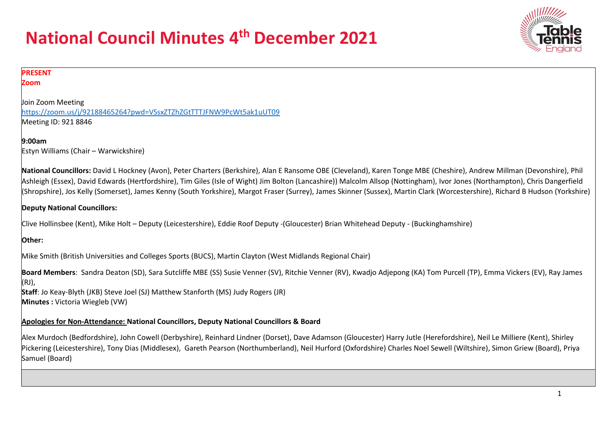

#### **PRESENT**

#### **Zoom**

Join Zoom Meeting <https://zoom.us/j/92188465264?pwd=VSsxZTZhZGtTTTJFNW9PcWt5ak1uUT09> Meeting ID: 921 8846

**9:00am**

Estyn Williams (Chair – Warwickshire)

**National Councillors:** David L Hockney (Avon), Peter Charters (Berkshire), Alan E Ransome OBE (Cleveland), Karen Tonge MBE (Cheshire), Andrew Millman (Devonshire), Phil Ashleigh (Essex), David Edwards (Hertfordshire), Tim Giles (Isle of Wight) Jim Bolton (Lancashire)) Malcolm Allsop (Nottingham), Ivor Jones (Northampton), Chris Dangerfield (Shropshire), Jos Kelly (Somerset), James Kenny (South Yorkshire), Margot Fraser (Surrey), James Skinner (Sussex), Martin Clark (Worcestershire), Richard B Hudson (Yorkshire)

#### **Deputy National Councillors:**

Clive Hollinsbee (Kent), Mike Holt – Deputy (Leicestershire), Eddie Roof Deputy -(Gloucester) Brian Whitehead Deputy - (Buckinghamshire)

**Other:**

Mike Smith (British Universities and Colleges Sports (BUCS), Martin Clayton (West Midlands Regional Chair)

**Board Members**: Sandra Deaton (SD), Sara Sutcliffe MBE (SS) Susie Venner (SV), Ritchie Venner (RV), Kwadjo Adjepong (KA) Tom Purcell (TP), Emma Vickers (EV), Ray James

(RJ),

**Staff**: Jo Keay-Blyth (JKB) Steve Joel (SJ) Matthew Stanforth (MS) Judy Rogers (JR)

**Minutes :** Victoria Wiegleb (VW)

#### **Apologies for Non-Attendance: National Councillors, Deputy National Councillors & Board**

Alex Murdoch (Bedfordshire), John Cowell (Derbyshire), Reinhard Lindner (Dorset), Dave Adamson (Gloucester) Harry Jutle (Herefordshire), Neil Le Milliere (Kent), Shirley Pickering (Leicestershire), Tony Dias (Middlesex), Gareth Pearson (Northumberland), Neil Hurford (Oxfordshire) Charles Noel Sewell (Wiltshire), Simon Griew (Board), Priya Samuel (Board)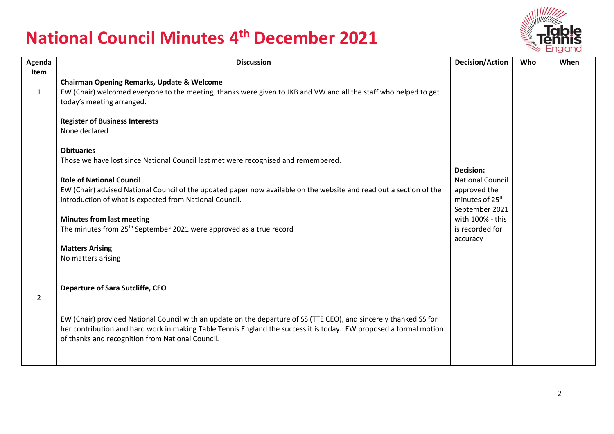

| Agenda         | <b>Discussion</b>                                                                                                   | <b>Decision/Action</b>                      | Who | When |
|----------------|---------------------------------------------------------------------------------------------------------------------|---------------------------------------------|-----|------|
| Item           |                                                                                                                     |                                             |     |      |
|                | <b>Chairman Opening Remarks, Update &amp; Welcome</b>                                                               |                                             |     |      |
| $\mathbf{1}$   | EW (Chair) welcomed everyone to the meeting, thanks were given to JKB and VW and all the staff who helped to get    |                                             |     |      |
|                | today's meeting arranged.                                                                                           |                                             |     |      |
|                | <b>Register of Business Interests</b>                                                                               |                                             |     |      |
|                | None declared                                                                                                       |                                             |     |      |
|                | <b>Obituaries</b>                                                                                                   |                                             |     |      |
|                | Those we have lost since National Council last met were recognised and remembered.                                  |                                             |     |      |
|                | <b>Role of National Council</b>                                                                                     | <b>Decision:</b><br><b>National Council</b> |     |      |
|                |                                                                                                                     |                                             |     |      |
|                | EW (Chair) advised National Council of the updated paper now available on the website and read out a section of the | approved the                                |     |      |
|                | introduction of what is expected from National Council.                                                             | minutes of 25 <sup>th</sup>                 |     |      |
|                |                                                                                                                     | September 2021                              |     |      |
|                | <b>Minutes from last meeting</b>                                                                                    | with 100% - this                            |     |      |
|                | The minutes from 25 <sup>th</sup> September 2021 were approved as a true record                                     | is recorded for<br>accuracy                 |     |      |
|                | <b>Matters Arising</b>                                                                                              |                                             |     |      |
|                | No matters arising                                                                                                  |                                             |     |      |
|                |                                                                                                                     |                                             |     |      |
|                |                                                                                                                     |                                             |     |      |
|                | <b>Departure of Sara Sutcliffe, CEO</b>                                                                             |                                             |     |      |
| $\overline{2}$ |                                                                                                                     |                                             |     |      |
|                |                                                                                                                     |                                             |     |      |
|                | EW (Chair) provided National Council with an update on the departure of SS (TTE CEO), and sincerely thanked SS for  |                                             |     |      |
|                | her contribution and hard work in making Table Tennis England the success it is today. EW proposed a formal motion  |                                             |     |      |
|                | of thanks and recognition from National Council.                                                                    |                                             |     |      |
|                |                                                                                                                     |                                             |     |      |
|                |                                                                                                                     |                                             |     |      |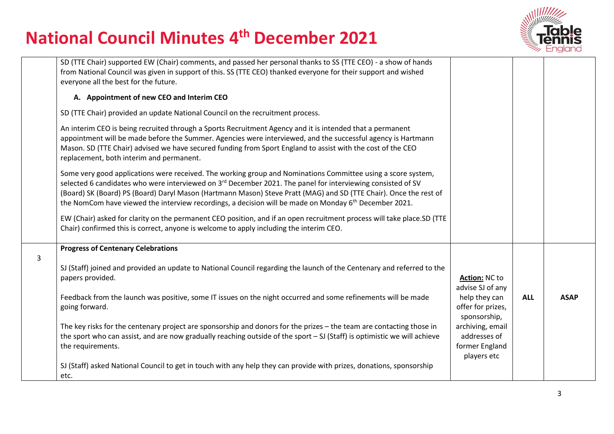

|                | SD (TTE Chair) supported EW (Chair) comments, and passed her personal thanks to SS (TTE CEO) - a show of hands<br>from National Council was given in support of this. SS (TTE CEO) thanked everyone for their support and wished<br>everyone all the best for the future.<br>A. Appointment of new CEO and Interim CEO<br>SD (TTE Chair) provided an update National Council on the recruitment process.<br>An interim CEO is being recruited through a Sports Recruitment Agency and it is intended that a permanent<br>appointment will be made before the Summer. Agencies were interviewed, and the successful agency is Hartmann<br>Mason. SD (TTE Chair) advised we have secured funding from Sport England to assist with the cost of the CEO<br>replacement, both interim and permanent.<br>Some very good applications were received. The working group and Nominations Committee using a score system,<br>selected 6 candidates who were interviewed on 3 <sup>rd</sup> December 2021. The panel for interviewing consisted of SV<br>(Board) SK (Board) PS (Board) Daryl Mason (Hartmann Mason) Steve Pratt (MAG) and SD (TTE Chair). Once the rest of<br>the NomCom have viewed the interview recordings, a decision will be made on Monday $6th$ December 2021.<br>EW (Chair) asked for clarity on the permanent CEO position, and if an open recruitment process will take place.SD (TTE |                                                                                                                                                              |            |             |
|----------------|-------------------------------------------------------------------------------------------------------------------------------------------------------------------------------------------------------------------------------------------------------------------------------------------------------------------------------------------------------------------------------------------------------------------------------------------------------------------------------------------------------------------------------------------------------------------------------------------------------------------------------------------------------------------------------------------------------------------------------------------------------------------------------------------------------------------------------------------------------------------------------------------------------------------------------------------------------------------------------------------------------------------------------------------------------------------------------------------------------------------------------------------------------------------------------------------------------------------------------------------------------------------------------------------------------------------------------------------------------------------------------------------------------|--------------------------------------------------------------------------------------------------------------------------------------------------------------|------------|-------------|
|                | Chair) confirmed this is correct, anyone is welcome to apply including the interim CEO.<br><b>Progress of Centenary Celebrations</b>                                                                                                                                                                                                                                                                                                                                                                                                                                                                                                                                                                                                                                                                                                                                                                                                                                                                                                                                                                                                                                                                                                                                                                                                                                                                  |                                                                                                                                                              |            |             |
| $\overline{3}$ | SJ (Staff) joined and provided an update to National Council regarding the launch of the Centenary and referred to the<br>papers provided.<br>Feedback from the launch was positive, some IT issues on the night occurred and some refinements will be made<br>going forward.<br>The key risks for the centenary project are sponsorship and donors for the prizes - the team are contacting those in<br>the sport who can assist, and are now gradually reaching outside of the sport $-$ SJ (Staff) is optimistic we will achieve<br>the requirements.<br>SJ (Staff) asked National Council to get in touch with any help they can provide with prizes, donations, sponsorship<br>etc.                                                                                                                                                                                                                                                                                                                                                                                                                                                                                                                                                                                                                                                                                                              | Action: NC to<br>advise SJ of any<br>help they can<br>offer for prizes,<br>sponsorship,<br>archiving, email<br>addresses of<br>former England<br>players etc | <b>ALL</b> | <b>ASAP</b> |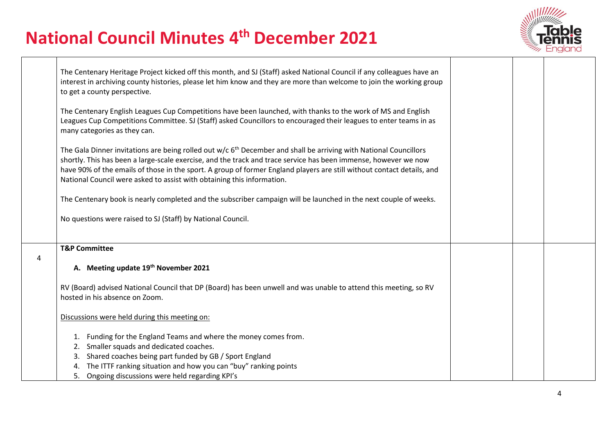

|   | The Centenary Heritage Project kicked off this month, and SJ (Staff) asked National Council if any colleagues have an<br>interest in archiving county histories, please let him know and they are more than welcome to join the working group<br>to get a county perspective.<br>The Centenary English Leagues Cup Competitions have been launched, with thanks to the work of MS and English<br>Leagues Cup Competitions Committee. SJ (Staff) asked Councillors to encouraged their leagues to enter teams in as<br>many categories as they can. |  |  |
|---|----------------------------------------------------------------------------------------------------------------------------------------------------------------------------------------------------------------------------------------------------------------------------------------------------------------------------------------------------------------------------------------------------------------------------------------------------------------------------------------------------------------------------------------------------|--|--|
|   | The Gala Dinner invitations are being rolled out $w/c$ 6 <sup>th</sup> December and shall be arriving with National Councillors<br>shortly. This has been a large-scale exercise, and the track and trace service has been immense, however we now<br>have 90% of the emails of those in the sport. A group of former England players are still without contact details, and<br>National Council were asked to assist with obtaining this information.                                                                                             |  |  |
|   | The Centenary book is nearly completed and the subscriber campaign will be launched in the next couple of weeks.                                                                                                                                                                                                                                                                                                                                                                                                                                   |  |  |
|   | No questions were raised to SJ (Staff) by National Council.                                                                                                                                                                                                                                                                                                                                                                                                                                                                                        |  |  |
|   | <b>T&amp;P Committee</b>                                                                                                                                                                                                                                                                                                                                                                                                                                                                                                                           |  |  |
| 4 | A. Meeting update 19th November 2021                                                                                                                                                                                                                                                                                                                                                                                                                                                                                                               |  |  |
|   | RV (Board) advised National Council that DP (Board) has been unwell and was unable to attend this meeting, so RV<br>hosted in his absence on Zoom.                                                                                                                                                                                                                                                                                                                                                                                                 |  |  |
|   | Discussions were held during this meeting on:                                                                                                                                                                                                                                                                                                                                                                                                                                                                                                      |  |  |
|   | 1. Funding for the England Teams and where the money comes from.<br>2. Smaller squads and dedicated coaches.<br>Shared coaches being part funded by GB / Sport England<br>3.<br>The ITTF ranking situation and how you can "buy" ranking points                                                                                                                                                                                                                                                                                                    |  |  |
|   | 5. Ongoing discussions were held regarding KPI's                                                                                                                                                                                                                                                                                                                                                                                                                                                                                                   |  |  |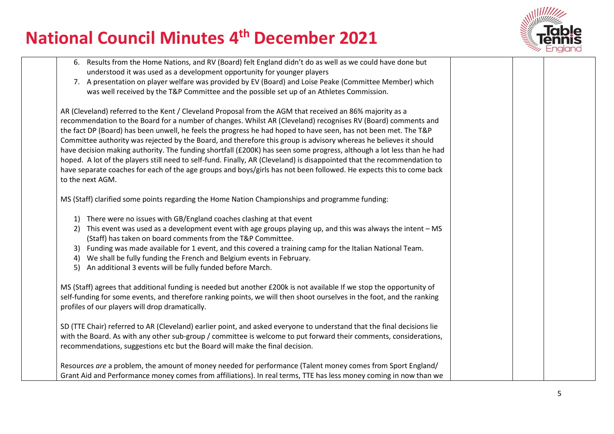

| 6. Results from the Home Nations, and RV (Board) felt England didn't do as well as we could have done but<br>understood it was used as a development opportunity for younger players<br>7. A presentation on player welfare was provided by EV (Board) and Loise Peake (Committee Member) which<br>was well received by the T&P Committee and the possible set up of an Athletes Commission.                                                                                                                                                                                                                                                                                                                                                                                                                                                                     |  |  |
|------------------------------------------------------------------------------------------------------------------------------------------------------------------------------------------------------------------------------------------------------------------------------------------------------------------------------------------------------------------------------------------------------------------------------------------------------------------------------------------------------------------------------------------------------------------------------------------------------------------------------------------------------------------------------------------------------------------------------------------------------------------------------------------------------------------------------------------------------------------|--|--|
| AR (Cleveland) referred to the Kent / Cleveland Proposal from the AGM that received an 86% majority as a<br>recommendation to the Board for a number of changes. Whilst AR (Cleveland) recognises RV (Board) comments and<br>the fact DP (Board) has been unwell, he feels the progress he had hoped to have seen, has not been met. The T&P<br>Committee authority was rejected by the Board, and therefore this group is advisory whereas he believes it should<br>have decision making authority. The funding shortfall (£200K) has seen some progress, although a lot less than he had<br>hoped. A lot of the players still need to self-fund. Finally, AR (Cleveland) is disappointed that the recommendation to<br>have separate coaches for each of the age groups and boys/girls has not been followed. He expects this to come back<br>to the next AGM. |  |  |
| MS (Staff) clarified some points regarding the Home Nation Championships and programme funding:                                                                                                                                                                                                                                                                                                                                                                                                                                                                                                                                                                                                                                                                                                                                                                  |  |  |
| There were no issues with GB/England coaches clashing at that event<br>1)<br>This event was used as a development event with age groups playing up, and this was always the intent - MS<br>(Staff) has taken on board comments from the T&P Committee.<br>Funding was made available for 1 event, and this covered a training camp for the Italian National Team.<br>3)<br>We shall be fully funding the French and Belgium events in February.<br>4)<br>An additional 3 events will be fully funded before March.<br>5)                                                                                                                                                                                                                                                                                                                                         |  |  |
| MS (Staff) agrees that additional funding is needed but another £200k is not available If we stop the opportunity of<br>self-funding for some events, and therefore ranking points, we will then shoot ourselves in the foot, and the ranking<br>profiles of our players will drop dramatically.                                                                                                                                                                                                                                                                                                                                                                                                                                                                                                                                                                 |  |  |
| SD (TTE Chair) referred to AR (Cleveland) earlier point, and asked everyone to understand that the final decisions lie<br>with the Board. As with any other sub-group / committee is welcome to put forward their comments, considerations,<br>recommendations, suggestions etc but the Board will make the final decision.                                                                                                                                                                                                                                                                                                                                                                                                                                                                                                                                      |  |  |
| Resources are a problem, the amount of money needed for performance (Talent money comes from Sport England/<br>Grant Aid and Performance money comes from affiliations). In real terms, TTE has less money coming in now than we                                                                                                                                                                                                                                                                                                                                                                                                                                                                                                                                                                                                                                 |  |  |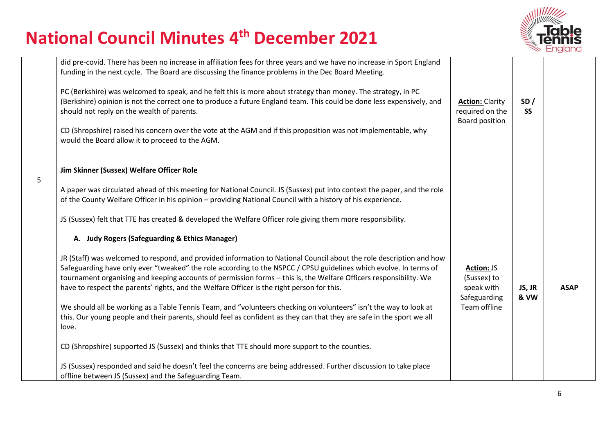

|   | did pre-covid. There has been no increase in affiliation fees for three years and we have no increase in Sport England<br>funding in the next cycle. The Board are discussing the finance problems in the Dec Board Meeting.<br>PC (Berkshire) was welcomed to speak, and he felt this is more about strategy than money. The strategy, in PC<br>(Berkshire) opinion is not the correct one to produce a future England team. This could be done less expensively, and<br>should not reply on the wealth of parents.<br>CD (Shropshire) raised his concern over the vote at the AGM and if this proposition was not implementable, why<br>would the Board allow it to proceed to the AGM.                                                                                                                                                                                                                                                                                                                                                                                                                                                                                                                                                                                                                                                                                                                      | <b>Action: Clarity</b><br>required on the<br>Board position                    | SD/<br><b>SS</b> |             |
|---|----------------------------------------------------------------------------------------------------------------------------------------------------------------------------------------------------------------------------------------------------------------------------------------------------------------------------------------------------------------------------------------------------------------------------------------------------------------------------------------------------------------------------------------------------------------------------------------------------------------------------------------------------------------------------------------------------------------------------------------------------------------------------------------------------------------------------------------------------------------------------------------------------------------------------------------------------------------------------------------------------------------------------------------------------------------------------------------------------------------------------------------------------------------------------------------------------------------------------------------------------------------------------------------------------------------------------------------------------------------------------------------------------------------|--------------------------------------------------------------------------------|------------------|-------------|
|   | Jim Skinner (Sussex) Welfare Officer Role                                                                                                                                                                                                                                                                                                                                                                                                                                                                                                                                                                                                                                                                                                                                                                                                                                                                                                                                                                                                                                                                                                                                                                                                                                                                                                                                                                      |                                                                                |                  |             |
| 5 | A paper was circulated ahead of this meeting for National Council. JS (Sussex) put into context the paper, and the role<br>of the County Welfare Officer in his opinion - providing National Council with a history of his experience.<br>JS (Sussex) felt that TTE has created & developed the Welfare Officer role giving them more responsibility.<br>A. Judy Rogers (Safeguarding & Ethics Manager)<br>JR (Staff) was welcomed to respond, and provided information to National Council about the role description and how<br>Safeguarding have only ever "tweaked" the role according to the NSPCC / CPSU guidelines which evolve. In terms of<br>tournament organising and keeping accounts of permission forms - this is, the Welfare Officers responsibility. We<br>have to respect the parents' rights, and the Welfare Officer is the right person for this.<br>We should all be working as a Table Tennis Team, and "volunteers checking on volunteers" isn't the way to look at<br>this. Our young people and their parents, should feel as confident as they can that they are safe in the sport we all<br>love.<br>CD (Shropshire) supported JS (Sussex) and thinks that TTE should more support to the counties.<br>JS (Sussex) responded and said he doesn't feel the concerns are being addressed. Further discussion to take place<br>offline between JS (Sussex) and the Safeguarding Team. | <b>Action: JS</b><br>(Sussex) to<br>speak with<br>Safeguarding<br>Team offline | JS, JR<br>& VW   | <b>ASAP</b> |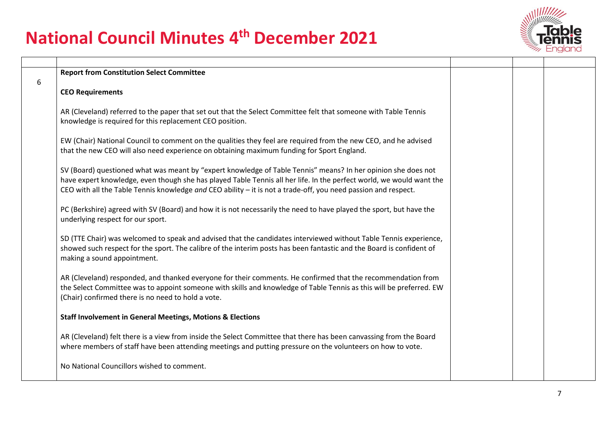

|   | <b>Report from Constitution Select Committee</b>                                                                                                                                                                                                                                                                                                        |  |  |
|---|---------------------------------------------------------------------------------------------------------------------------------------------------------------------------------------------------------------------------------------------------------------------------------------------------------------------------------------------------------|--|--|
| 6 | <b>CEO Requirements</b>                                                                                                                                                                                                                                                                                                                                 |  |  |
|   | AR (Cleveland) referred to the paper that set out that the Select Committee felt that someone with Table Tennis<br>knowledge is required for this replacement CEO position.                                                                                                                                                                             |  |  |
|   | EW (Chair) National Council to comment on the qualities they feel are required from the new CEO, and he advised<br>that the new CEO will also need experience on obtaining maximum funding for Sport England.                                                                                                                                           |  |  |
|   | SV (Board) questioned what was meant by "expert knowledge of Table Tennis" means? In her opinion she does not<br>have expert knowledge, even though she has played Table Tennis all her life. In the perfect world, we would want the<br>CEO with all the Table Tennis knowledge and CEO ability - it is not a trade-off, you need passion and respect. |  |  |
|   | PC (Berkshire) agreed with SV (Board) and how it is not necessarily the need to have played the sport, but have the<br>underlying respect for our sport.                                                                                                                                                                                                |  |  |
|   | SD (TTE Chair) was welcomed to speak and advised that the candidates interviewed without Table Tennis experience,<br>showed such respect for the sport. The calibre of the interim posts has been fantastic and the Board is confident of<br>making a sound appointment.                                                                                |  |  |
|   | AR (Cleveland) responded, and thanked everyone for their comments. He confirmed that the recommendation from<br>the Select Committee was to appoint someone with skills and knowledge of Table Tennis as this will be preferred. EW<br>(Chair) confirmed there is no need to hold a vote.                                                               |  |  |
|   | <b>Staff Involvement in General Meetings, Motions &amp; Elections</b>                                                                                                                                                                                                                                                                                   |  |  |
|   | AR (Cleveland) felt there is a view from inside the Select Committee that there has been canvassing from the Board<br>where members of staff have been attending meetings and putting pressure on the volunteers on how to vote.                                                                                                                        |  |  |
|   | No National Councillors wished to comment.                                                                                                                                                                                                                                                                                                              |  |  |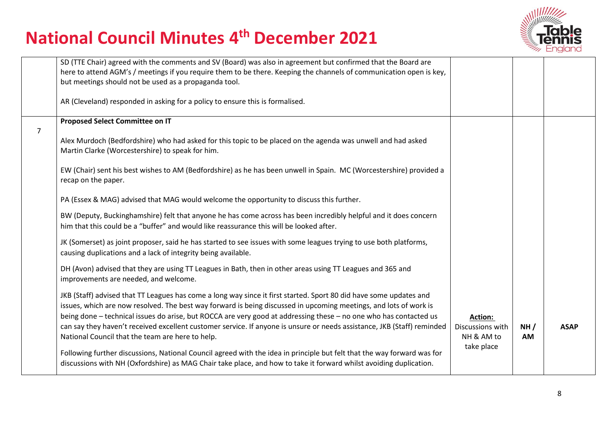

|                | SD (TTE Chair) agreed with the comments and SV (Board) was also in agreement but confirmed that the Board are           |                  |     |             |
|----------------|-------------------------------------------------------------------------------------------------------------------------|------------------|-----|-------------|
|                | here to attend AGM's / meetings if you require them to be there. Keeping the channels of communication open is key,     |                  |     |             |
|                | but meetings should not be used as a propaganda tool.                                                                   |                  |     |             |
|                |                                                                                                                         |                  |     |             |
|                | AR (Cleveland) responded in asking for a policy to ensure this is formalised.                                           |                  |     |             |
|                |                                                                                                                         |                  |     |             |
|                |                                                                                                                         |                  |     |             |
|                | <b>Proposed Select Committee on IT</b>                                                                                  |                  |     |             |
| $\overline{7}$ |                                                                                                                         |                  |     |             |
|                | Alex Murdoch (Bedfordshire) who had asked for this topic to be placed on the agenda was unwell and had asked            |                  |     |             |
|                | Martin Clarke (Worcestershire) to speak for him.                                                                        |                  |     |             |
|                |                                                                                                                         |                  |     |             |
|                | EW (Chair) sent his best wishes to AM (Bedfordshire) as he has been unwell in Spain. MC (Worcestershire) provided a     |                  |     |             |
|                | recap on the paper.                                                                                                     |                  |     |             |
|                |                                                                                                                         |                  |     |             |
|                | PA (Essex & MAG) advised that MAG would welcome the opportunity to discuss this further.                                |                  |     |             |
|                |                                                                                                                         |                  |     |             |
|                | BW (Deputy, Buckinghamshire) felt that anyone he has come across has been incredibly helpful and it does concern        |                  |     |             |
|                | him that this could be a "buffer" and would like reassurance this will be looked after.                                 |                  |     |             |
|                |                                                                                                                         |                  |     |             |
|                | JK (Somerset) as joint proposer, said he has started to see issues with some leagues trying to use both platforms,      |                  |     |             |
|                | causing duplications and a lack of integrity being available.                                                           |                  |     |             |
|                |                                                                                                                         |                  |     |             |
|                | DH (Avon) advised that they are using TT Leagues in Bath, then in other areas using TT Leagues and 365 and              |                  |     |             |
|                | improvements are needed, and welcome.                                                                                   |                  |     |             |
|                |                                                                                                                         |                  |     |             |
|                | JKB (Staff) advised that TT Leagues has come a long way since it first started. Sport 80 did have some updates and      |                  |     |             |
|                | issues, which are now resolved. The best way forward is being discussed in upcoming meetings, and lots of work is       |                  |     |             |
|                |                                                                                                                         |                  |     |             |
|                | being done - technical issues do arise, but ROCCA are very good at addressing these - no one who has contacted us       | <b>Action:</b>   |     |             |
|                | can say they haven't received excellent customer service. If anyone is unsure or needs assistance, JKB (Staff) reminded | Discussions with | NH/ | <b>ASAP</b> |
|                | National Council that the team are here to help.                                                                        | NH & AM to       | AM  |             |
|                |                                                                                                                         | take place       |     |             |
|                | Following further discussions, National Council agreed with the idea in principle but felt that the way forward was for |                  |     |             |
|                | discussions with NH (Oxfordshire) as MAG Chair take place, and how to take it forward whilst avoiding duplication.      |                  |     |             |
|                |                                                                                                                         |                  |     |             |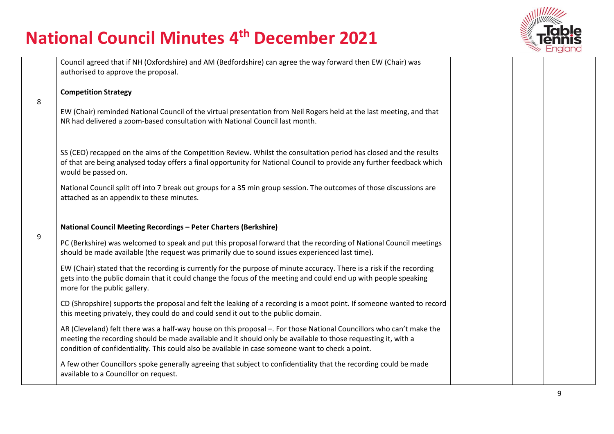

|   | Council agreed that if NH (Oxfordshire) and AM (Bedfordshire) can agree the way forward then EW (Chair) was<br>authorised to approve the proposal.                                                                                                                                                                                         |  |  |
|---|--------------------------------------------------------------------------------------------------------------------------------------------------------------------------------------------------------------------------------------------------------------------------------------------------------------------------------------------|--|--|
| 8 | <b>Competition Strategy</b>                                                                                                                                                                                                                                                                                                                |  |  |
|   | EW (Chair) reminded National Council of the virtual presentation from Neil Rogers held at the last meeting, and that<br>NR had delivered a zoom-based consultation with National Council last month.                                                                                                                                       |  |  |
|   | SS (CEO) recapped on the aims of the Competition Review. Whilst the consultation period has closed and the results<br>of that are being analysed today offers a final opportunity for National Council to provide any further feedback which<br>would be passed on.                                                                        |  |  |
|   | National Council split off into 7 break out groups for a 35 min group session. The outcomes of those discussions are<br>attached as an appendix to these minutes.                                                                                                                                                                          |  |  |
|   | National Council Meeting Recordings - Peter Charters (Berkshire)                                                                                                                                                                                                                                                                           |  |  |
| 9 | PC (Berkshire) was welcomed to speak and put this proposal forward that the recording of National Council meetings<br>should be made available (the request was primarily due to sound issues experienced last time).                                                                                                                      |  |  |
|   | EW (Chair) stated that the recording is currently for the purpose of minute accuracy. There is a risk if the recording<br>gets into the public domain that it could change the focus of the meeting and could end up with people speaking<br>more for the public gallery.                                                                  |  |  |
|   | CD (Shropshire) supports the proposal and felt the leaking of a recording is a moot point. If someone wanted to record<br>this meeting privately, they could do and could send it out to the public domain.                                                                                                                                |  |  |
|   | AR (Cleveland) felt there was a half-way house on this proposal -. For those National Councillors who can't make the<br>meeting the recording should be made available and it should only be available to those requesting it, with a<br>condition of confidentiality. This could also be available in case someone want to check a point. |  |  |
|   | A few other Councillors spoke generally agreeing that subject to confidentiality that the recording could be made<br>available to a Councillor on request.                                                                                                                                                                                 |  |  |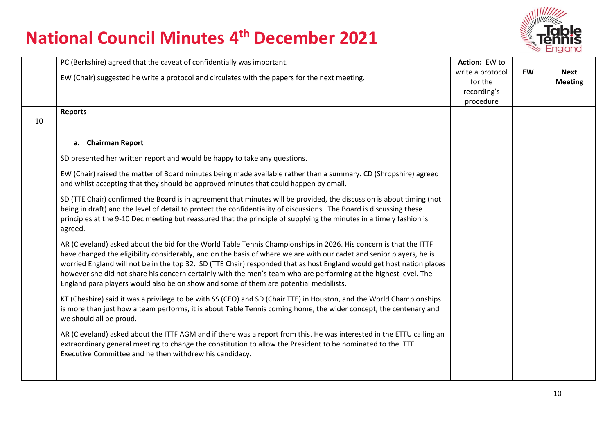

|    | PC (Berkshire) agreed that the caveat of confidentially was important.<br>EW (Chair) suggested he write a protocol and circulates with the papers for the next meeting.                                                                                                                                                                                                                                                                                                                                                                                                         | Action: EW to<br>write a protocol<br>for the<br>recording's<br>procedure | EW | <b>Next</b><br><b>Meeting</b> |
|----|---------------------------------------------------------------------------------------------------------------------------------------------------------------------------------------------------------------------------------------------------------------------------------------------------------------------------------------------------------------------------------------------------------------------------------------------------------------------------------------------------------------------------------------------------------------------------------|--------------------------------------------------------------------------|----|-------------------------------|
| 10 | <b>Reports</b>                                                                                                                                                                                                                                                                                                                                                                                                                                                                                                                                                                  |                                                                          |    |                               |
|    | a. Chairman Report                                                                                                                                                                                                                                                                                                                                                                                                                                                                                                                                                              |                                                                          |    |                               |
|    | SD presented her written report and would be happy to take any questions.                                                                                                                                                                                                                                                                                                                                                                                                                                                                                                       |                                                                          |    |                               |
|    | EW (Chair) raised the matter of Board minutes being made available rather than a summary. CD (Shropshire) agreed<br>and whilst accepting that they should be approved minutes that could happen by email.                                                                                                                                                                                                                                                                                                                                                                       |                                                                          |    |                               |
|    | SD (TTE Chair) confirmed the Board is in agreement that minutes will be provided, the discussion is about timing (not<br>being in draft) and the level of detail to protect the confidentiality of discussions. The Board is discussing these<br>principles at the 9-10 Dec meeting but reassured that the principle of supplying the minutes in a timely fashion is<br>agreed.                                                                                                                                                                                                 |                                                                          |    |                               |
|    | AR (Cleveland) asked about the bid for the World Table Tennis Championships in 2026. His concern is that the ITTF<br>have changed the eligibility considerably, and on the basis of where we are with our cadet and senior players, he is<br>worried England will not be in the top 32. SD (TTE Chair) responded that as host England would get host nation places<br>however she did not share his concern certainly with the men's team who are performing at the highest level. The<br>England para players would also be on show and some of them are potential medallists. |                                                                          |    |                               |
|    | KT (Cheshire) said it was a privilege to be with SS (CEO) and SD (Chair TTE) in Houston, and the World Championships<br>is more than just how a team performs, it is about Table Tennis coming home, the wider concept, the centenary and<br>we should all be proud.                                                                                                                                                                                                                                                                                                            |                                                                          |    |                               |
|    | AR (Cleveland) asked about the ITTF AGM and if there was a report from this. He was interested in the ETTU calling an<br>extraordinary general meeting to change the constitution to allow the President to be nominated to the ITTF<br>Executive Committee and he then withdrew his candidacy.                                                                                                                                                                                                                                                                                 |                                                                          |    |                               |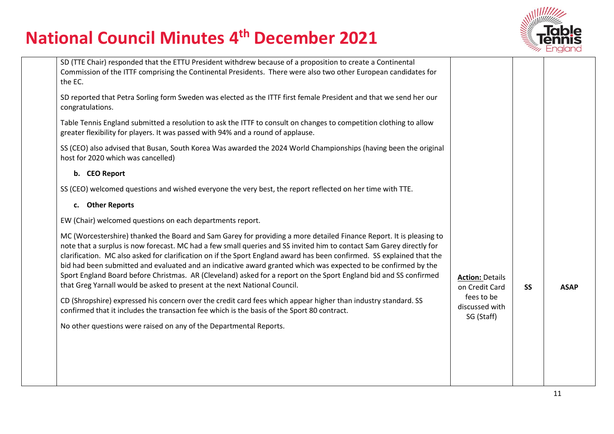

| SD (TTE Chair) responded that the ETTU President withdrew because of a proposition to create a Continental<br>Commission of the ITTF comprising the Continental Presidents. There were also two other European candidates for<br>the EC.                                                                                                                                                                                                                                                                                                                                                                                                                                                  |                                            |           |             |
|-------------------------------------------------------------------------------------------------------------------------------------------------------------------------------------------------------------------------------------------------------------------------------------------------------------------------------------------------------------------------------------------------------------------------------------------------------------------------------------------------------------------------------------------------------------------------------------------------------------------------------------------------------------------------------------------|--------------------------------------------|-----------|-------------|
| SD reported that Petra Sorling form Sweden was elected as the ITTF first female President and that we send her our<br>congratulations.                                                                                                                                                                                                                                                                                                                                                                                                                                                                                                                                                    |                                            |           |             |
| Table Tennis England submitted a resolution to ask the ITTF to consult on changes to competition clothing to allow<br>greater flexibility for players. It was passed with 94% and a round of applause.                                                                                                                                                                                                                                                                                                                                                                                                                                                                                    |                                            |           |             |
| SS (CEO) also advised that Busan, South Korea Was awarded the 2024 World Championships (having been the original<br>host for 2020 which was cancelled)                                                                                                                                                                                                                                                                                                                                                                                                                                                                                                                                    |                                            |           |             |
| b. CEO Report                                                                                                                                                                                                                                                                                                                                                                                                                                                                                                                                                                                                                                                                             |                                            |           |             |
| SS (CEO) welcomed questions and wished everyone the very best, the report reflected on her time with TTE.                                                                                                                                                                                                                                                                                                                                                                                                                                                                                                                                                                                 |                                            |           |             |
| c. Other Reports                                                                                                                                                                                                                                                                                                                                                                                                                                                                                                                                                                                                                                                                          |                                            |           |             |
| EW (Chair) welcomed questions on each departments report.                                                                                                                                                                                                                                                                                                                                                                                                                                                                                                                                                                                                                                 |                                            |           |             |
| MC (Worcestershire) thanked the Board and Sam Garey for providing a more detailed Finance Report. It is pleasing to<br>note that a surplus is now forecast. MC had a few small queries and SS invited him to contact Sam Garey directly for<br>clarification. MC also asked for clarification on if the Sport England award has been confirmed. SS explained that the<br>bid had been submitted and evaluated and an indicative award granted which was expected to be confirmed by the<br>Sport England Board before Christmas. AR (Cleveland) asked for a report on the Sport England bid and SS confirmed<br>that Greg Yarnall would be asked to present at the next National Council. | <b>Action: Details</b><br>on Credit Card   | <b>SS</b> | <b>ASAP</b> |
| CD (Shropshire) expressed his concern over the credit card fees which appear higher than industry standard. SS<br>confirmed that it includes the transaction fee which is the basis of the Sport 80 contract.                                                                                                                                                                                                                                                                                                                                                                                                                                                                             | fees to be<br>discussed with<br>SG (Staff) |           |             |
| No other questions were raised on any of the Departmental Reports.                                                                                                                                                                                                                                                                                                                                                                                                                                                                                                                                                                                                                        |                                            |           |             |
|                                                                                                                                                                                                                                                                                                                                                                                                                                                                                                                                                                                                                                                                                           |                                            |           |             |
|                                                                                                                                                                                                                                                                                                                                                                                                                                                                                                                                                                                                                                                                                           |                                            |           |             |
|                                                                                                                                                                                                                                                                                                                                                                                                                                                                                                                                                                                                                                                                                           |                                            |           |             |
|                                                                                                                                                                                                                                                                                                                                                                                                                                                                                                                                                                                                                                                                                           |                                            |           |             |